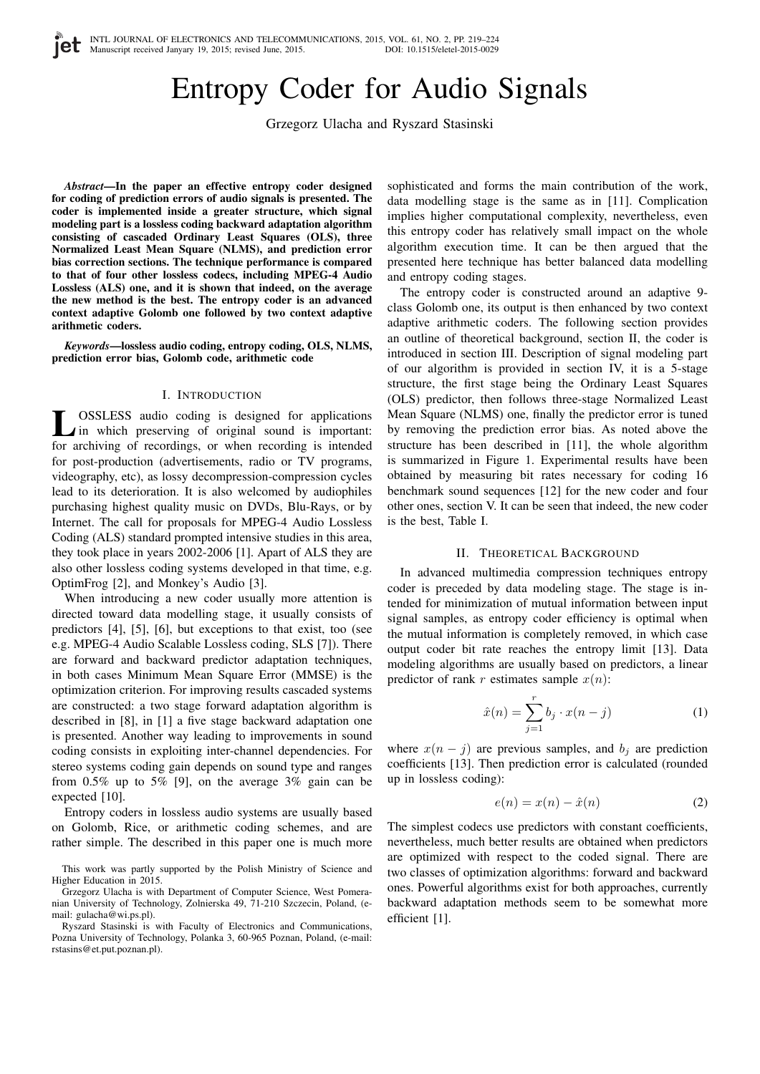# Entropy Coder for Audio Signals

Grzegorz Ulacha and Ryszard Stasinski

*Abstract*—In the paper an effective entropy coder designed for coding of prediction errors of audio signals is presented. The coder is implemented inside a greater structure, which signal modeling part is a lossless coding backward adaptation algorithm consisting of cascaded Ordinary Least Squares (OLS), three Normalized Least Mean Square (NLMS), and prediction error bias correction sections. The technique performance is compared to that of four other lossless codecs, including MPEG-4 Audio Lossless (ALS) one, and it is shown that indeed, on the average the new method is the best. The entropy coder is an advanced context adaptive Golomb one followed by two context adaptive arithmetic coders.

*Keywords*—lossless audio coding, entropy coding, OLS, NLMS, prediction error bias, Golomb code, arithmetic code

# I. INTRODUCTION

**L** OSSLESS audio coding is designed for applications<br>in which preserving of original sound is important: OSSLESS audio coding is designed for applications for archiving of recordings, or when recording is intended for post-production (advertisements, radio or TV programs, videography, etc), as lossy decompression-compression cycles lead to its deterioration. It is also welcomed by audiophiles purchasing highest quality music on DVDs, Blu-Rays, or by Internet. The call for proposals for MPEG-4 Audio Lossless Coding (ALS) standard prompted intensive studies in this area, they took place in years 2002-2006 [1]. Apart of ALS they are also other lossless coding systems developed in that time, e.g. OptimFrog [2], and Monkey's Audio [3].

When introducing a new coder usually more attention is directed toward data modelling stage, it usually consists of predictors [4], [5], [6], but exceptions to that exist, too (see e.g. MPEG-4 Audio Scalable Lossless coding, SLS [7]). There are forward and backward predictor adaptation techniques, in both cases Minimum Mean Square Error (MMSE) is the optimization criterion. For improving results cascaded systems are constructed: a two stage forward adaptation algorithm is described in [8], in [1] a five stage backward adaptation one is presented. Another way leading to improvements in sound coding consists in exploiting inter-channel dependencies. For stereo systems coding gain depends on sound type and ranges from 0.5% up to 5% [9], on the average 3% gain can be expected [10].

Entropy coders in lossless audio systems are usually based on Golomb, Rice, or arithmetic coding schemes, and are rather simple. The described in this paper one is much more

sophisticated and forms the main contribution of the work, data modelling stage is the same as in [11]. Complication implies higher computational complexity, nevertheless, even this entropy coder has relatively small impact on the whole algorithm execution time. It can be then argued that the presented here technique has better balanced data modelling and entropy coding stages.

The entropy coder is constructed around an adaptive 9 class Golomb one, its output is then enhanced by two context adaptive arithmetic coders. The following section provides an outline of theoretical background, section II, the coder is introduced in section III. Description of signal modeling part of our algorithm is provided in section IV, it is a 5-stage structure, the first stage being the Ordinary Least Squares (OLS) predictor, then follows three-stage Normalized Least Mean Square (NLMS) one, finally the predictor error is tuned by removing the prediction error bias. As noted above the structure has been described in [11], the whole algorithm is summarized in Figure 1. Experimental results have been obtained by measuring bit rates necessary for coding 16 benchmark sound sequences [12] for the new coder and four other ones, section V. It can be seen that indeed, the new coder is the best, Table I.

#### II. THEORETICAL BACKGROUND

In advanced multimedia compression techniques entropy coder is preceded by data modeling stage. The stage is intended for minimization of mutual information between input signal samples, as entropy coder efficiency is optimal when the mutual information is completely removed, in which case output coder bit rate reaches the entropy limit [13]. Data modeling algorithms are usually based on predictors, a linear predictor of rank r estimates sample  $x(n)$ :

$$
\hat{x}(n) = \sum_{j=1}^{r} b_j \cdot x(n-j)
$$
 (1)

where  $x(n - j)$  are previous samples, and  $b_i$  are prediction coefficients [13]. Then prediction error is calculated (rounded up in lossless coding):

$$
e(n) = x(n) - \hat{x}(n)
$$
 (2)

The simplest codecs use predictors with constant coefficients, nevertheless, much better results are obtained when predictors are optimized with respect to the coded signal. There are two classes of optimization algorithms: forward and backward ones. Powerful algorithms exist for both approaches, currently backward adaptation methods seem to be somewhat more efficient [1].

This work was partly supported by the Polish Ministry of Science and Higher Education in 2015.

Grzegorz Ulacha is with Department of Computer Science, West Pomeranian University of Technology, Zolnierska 49, 71-210 Szczecin, Poland, (email: gulacha@wi.ps.pl).

Ryszard Stasinski is with Faculty of Electronics and Communications, Pozna University of Technology, Polanka 3, 60-965 Poznan, Poland, (e-mail: rstasins@et.put.poznan.pl).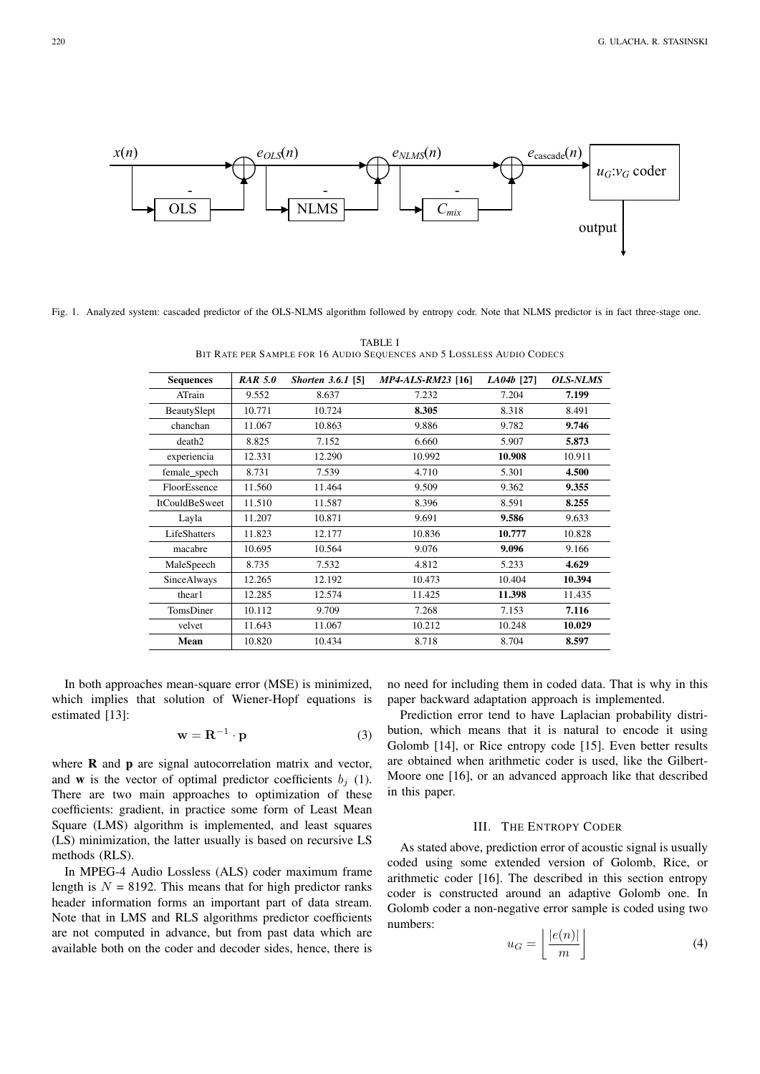

Fig. 1. Analyzed system: cascaded predictor of the OLS-NLMS algorithm followed by entropy codr. Note that NLMS predictor is in fact three-stage one.

**TABLE I** BIT RATE PER SAMPLE FOR 16 AUDIO SEQUENCES AND 5 LOSSLESS AUDIO CODECS

| <b>Sequences</b>      | <b>RAR 5.0</b> | <i>Shorten 3.6.1</i> [5] | <i>MP4-ALS-RM23</i> [16] | $LA04b$ [27] | <b>OLS-NLMS</b> |
|-----------------------|----------------|--------------------------|--------------------------|--------------|-----------------|
| ATrain                | 9.552          | 8.637                    | 7.232                    | 7.204        | 7.199           |
| BeautySlept           | 10.771         | 10.724                   | 8.305                    | 8.318        | 8.491           |
| chanchan              | 11.067         | 10.863                   | 9.886                    | 9.782        | 9.746           |
| death2                | 8.825          | 7.152                    | 6.660                    | 5.907        | 5.873           |
| experiencia           | 12.331         | 12.290                   | 10.992                   | 10.908       | 10.911          |
| female_spech          | 8.731          | 7.539                    | 4.710                    | 5.301        | 4.500           |
| FloorEssence          | 11.560         | 11.464                   | 9.509                    | 9.362        | 9.355           |
| <b>ItCouldBeSweet</b> | 11.510         | 11.587                   | 8.396                    | 8.591        | 8.255           |
| Layla                 | 11.207         | 10.871                   | 9.691                    | 9.586        | 9.633           |
| LifeShatters          | 11.823         | 12.177                   | 10.836                   | 10.777       | 10.828          |
| macabre               | 10.695         | 10.564                   | 9.076                    | 9.096        | 9.166           |
| MaleSpeech            | 8.735          | 7.532                    | 4.812                    | 5.233        | 4.629           |
| SinceAlways           | 12.265         | 12.192                   | 10.473                   | 10.404       | 10.394          |
| thear1                | 12.285         | 12.574                   | 11.425                   | 11.398       | 11.435          |
| TomsDiner             | 10.112         | 9.709                    | 7.268                    | 7.153        | 7.116           |
| velvet                | 11.643         | 11.067                   | 10.212                   | 10.248       | 10.029          |
| Mean                  | 10.820         | 10.434                   | 8.718                    | 8.704        | 8.597           |

In both approaches mean-square error (MSE) is minimized, which implies that solution of Wiener-Hopf equations is estimated  $[13]$ :

$$
\mathbf{w} = \mathbf{R}^{-1} \cdot \mathbf{p} \tag{3}
$$

where  $\bf{R}$  and  $\bf{p}$  are signal autocorrelation matrix and vector, and **w** is the vector of optimal predictor coefficients  $b_i$  (1). There are two main approaches to optimization of these coefficients: gradient, in practice some form of Least Mean Square (LMS) algorithm is implemented, and least squares (LS) minimization, the latter usually is based on recursive LS methods (RLS).

In MPEG-4 Audio Lossless (ALS) coder maximum frame length is  $N = 8192$ . This means that for high predictor ranks header information forms an important part of data stream. Note that in LMS and RLS algorithms predictor coefficients are not computed in advance, but from past data which are available both on the coder and decoder sides, hence, there is

no need for including them in coded data. That is why in this paper backward adaptation approach is implemented.

Prediction error tend to have Laplacian probability distribution, which means that it is natural to encode it using Golomb [14], or Rice entropy code [15]. Even better results are obtained when arithmetic coder is used, like the Gilbert-Moore one [16], or an advanced approach like that described in this paper.

# **III. THE ENTROPY CODER**

As stated above, prediction error of acoustic signal is usually coded using some extended version of Golomb, Rice, or arithmetic coder [16]. The described in this section entropy coder is constructed around an adaptive Golomb one. In Golomb coder a non-negative error sample is coded using two numbers: **Contractor** 

$$
u_G = \left\lfloor \frac{|e(n)|}{m} \right\rfloor \tag{4}
$$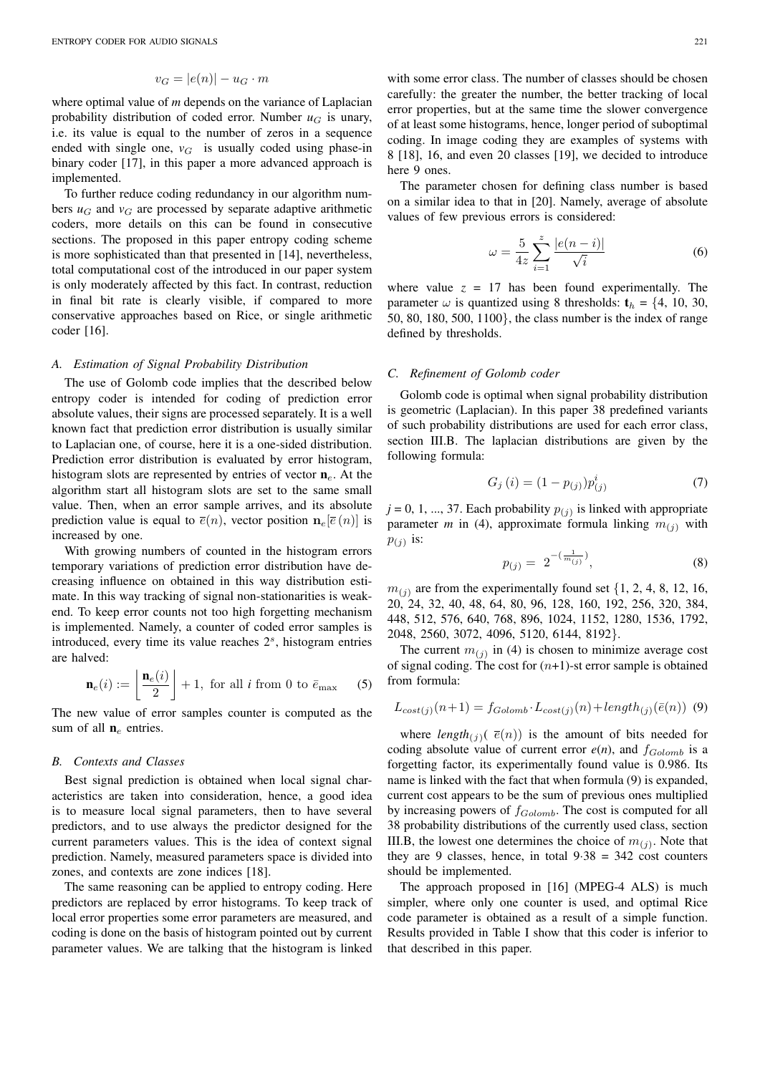$$
v_G = |e(n)| - u_G \cdot m
$$

where optimal value of *m* depends on the variance of Laplacian probability distribution of coded error. Number  $u_G$  is unary, i.e. its value is equal to the number of zeros in a sequence ended with single one,  $v_G$  is usually coded using phase-in binary coder [17], in this paper a more advanced approach is implemented.

To further reduce coding redundancy in our algorithm numbers  $u_G$  and  $v_G$  are processed by separate adaptive arithmetic coders, more details on this can be found in consecutive sections. The proposed in this paper entropy coding scheme is more sophisticated than that presented in [14], nevertheless, total computational cost of the introduced in our paper system is only moderately affected by this fact. In contrast, reduction in final bit rate is clearly visible, if compared to more conservative approaches based on Rice, or single arithmetic coder [16].

#### *A. Estimation of Signal Probability Distribution*

The use of Golomb code implies that the described below entropy coder is intended for coding of prediction error absolute values, their signs are processed separately. It is a well known fact that prediction error distribution is usually similar to Laplacian one, of course, here it is a one-sided distribution. Prediction error distribution is evaluated by error histogram, histogram slots are represented by entries of vector  $n_e$ . At the algorithm start all histogram slots are set to the same small value. Then, when an error sample arrives, and its absolute prediction value is equal to  $\bar{e}(n)$ , vector position  $\mathbf{n}_e[\bar{e}(n)]$  is increased by one.

With growing numbers of counted in the histogram errors temporary variations of prediction error distribution have decreasing influence on obtained in this way distribution estimate. In this way tracking of signal non-stationarities is weakend. To keep error counts not too high forgetting mechanism is implemented. Namely, a counter of coded error samples is introduced, every time its value reaches  $2<sup>s</sup>$ , histogram entries are halved:

$$
\mathbf{n}_e(i) := \left\lfloor \frac{\mathbf{n}_e(i)}{2} \right\rfloor + 1, \text{ for all } i \text{ from 0 to } \bar{e}_{\text{max}} \quad (5)
$$

The new value of error samples counter is computed as the sum of all  $n_e$  entries.

# *B. Contexts and Classes*

Best signal prediction is obtained when local signal characteristics are taken into consideration, hence, a good idea is to measure local signal parameters, then to have several predictors, and to use always the predictor designed for the current parameters values. This is the idea of context signal prediction. Namely, measured parameters space is divided into zones, and contexts are zone indices [18].

The same reasoning can be applied to entropy coding. Here predictors are replaced by error histograms. To keep track of local error properties some error parameters are measured, and coding is done on the basis of histogram pointed out by current parameter values. We are talking that the histogram is linked

with some error class. The number of classes should be chosen carefully: the greater the number, the better tracking of local error properties, but at the same time the slower convergence of at least some histograms, hence, longer period of suboptimal coding. In image coding they are examples of systems with 8 [18], 16, and even 20 classes [19], we decided to introduce here 9 ones.

The parameter chosen for defining class number is based on a similar idea to that in [20]. Namely, average of absolute values of few previous errors is considered:

$$
\omega = \frac{5}{4z} \sum_{i=1}^{z} \frac{|e(n-i)|}{\sqrt{i}}
$$
 (6)

where value  $z = 17$  has been found experimentally. The parameter  $\omega$  is quantized using 8 thresholds:  $t_h = \{4, 10, 30, \dots\}$ 50, 80, 180, 500, 1100}, the class number is the index of range defined by thresholds.

#### *C. Refinement of Golomb coder*

Golomb code is optimal when signal probability distribution is geometric (Laplacian). In this paper 38 predefined variants of such probability distributions are used for each error class, section III.B. The laplacian distributions are given by the following formula:

$$
G_j(i) = (1 - p_{(j)})p_{(j)}^i
$$
\n(7)

 $j = 0, 1, ..., 37$ . Each probability  $p_{(j)}$  is linked with appropriate parameter *m* in (4), approximate formula linking  $m_{(i)}$  with  $p_{(j)}$  is:

$$
p_{(j)} = 2^{-\left(\frac{1}{m_{(j)}}\right)},\tag{8}
$$

 $m_{(i)}$  are from the experimentally found set  $\{1, 2, 4, 8, 12, 16,$ 20, 24, 32, 40, 48, 64, 80, 96, 128, 160, 192, 256, 320, 384, 448, 512, 576, 640, 768, 896, 1024, 1152, 1280, 1536, 1792, 2048, 2560, 3072, 4096, 5120, 6144, 8192}.

The current  $m_{(j)}$  in (4) is chosen to minimize average cost of signal coding. The cost for  $(n+1)$ -st error sample is obtained from formula:

$$
L_{cost(j)}(n+1) = f_{Golomb} \cdot L_{cost(j)}(n) + length_{(j)}(\bar{e}(n))
$$
 (9)

where *length*( $j$ )( $\bar{e}(n)$ ) is the amount of bits needed for coding absolute value of current error  $e(n)$ , and  $f_{Golomb}$  is a forgetting factor, its experimentally found value is 0.986. Its name is linked with the fact that when formula (9) is expanded, current cost appears to be the sum of previous ones multiplied by increasing powers of  $f_{Golomb}$ . The cost is computed for all 38 probability distributions of the currently used class, section III.B, the lowest one determines the choice of  $m_{(j)}$ . Note that they are 9 classes, hence, in total  $9.38 = 342$  cost counters should be implemented.

The approach proposed in [16] (MPEG-4 ALS) is much simpler, where only one counter is used, and optimal Rice code parameter is obtained as a result of a simple function. Results provided in Table I show that this coder is inferior to that described in this paper.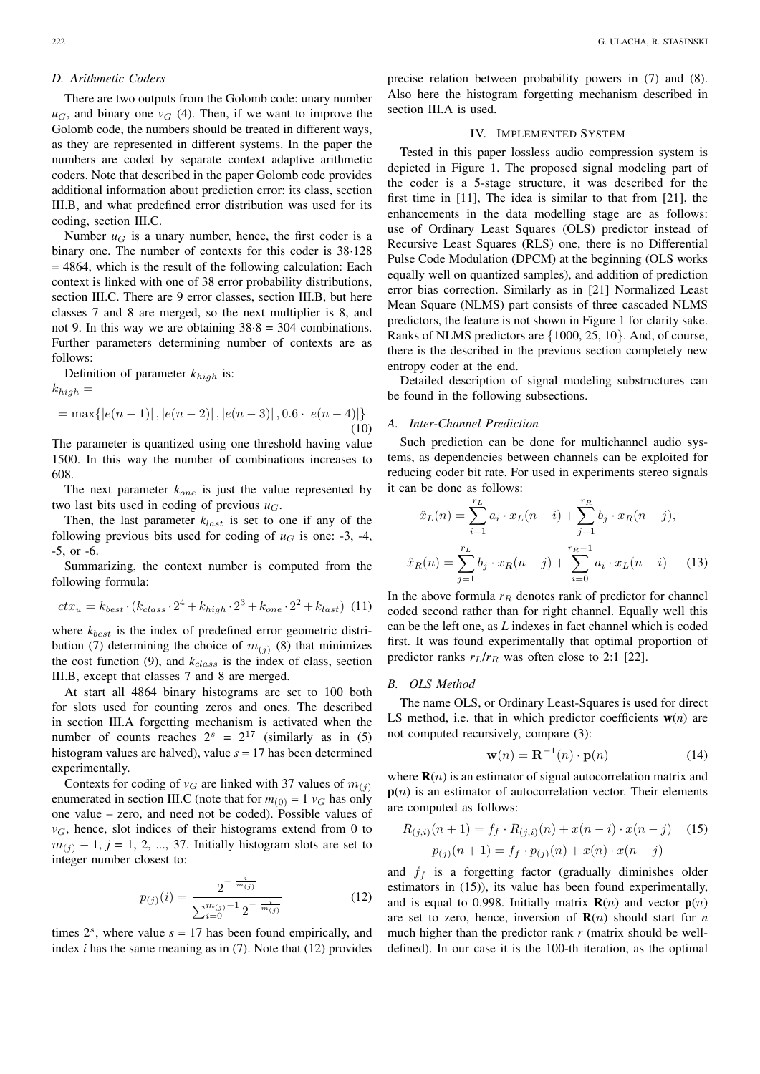# *D. Arithmetic Coders*

There are two outputs from the Golomb code: unary number  $u_G$ , and binary one  $v_G$  (4). Then, if we want to improve the Golomb code, the numbers should be treated in different ways, as they are represented in different systems. In the paper the numbers are coded by separate context adaptive arithmetic coders. Note that described in the paper Golomb code provides additional information about prediction error: its class, section III.B, and what predefined error distribution was used for its coding, section III.C.

Number  $u_G$  is a unary number, hence, the first coder is a binary one. The number of contexts for this coder is 38·128 = 4864, which is the result of the following calculation: Each context is linked with one of 38 error probability distributions, section III.C. There are 9 error classes, section III.B, but here classes 7 and 8 are merged, so the next multiplier is 8, and not 9. In this way we are obtaining  $38.8 = 304$  combinations. Further parameters determining number of contexts are as follows:

Definition of parameter *k*high is:

 $k_{high} =$ 

$$
= \max\{|e(n-1)|, |e(n-2)|, |e(n-3)|, 0.6 \cdot |e(n-4)|\}
$$
\n<sup>(10)</sup>

The parameter is quantized using one threshold having value 1500. In this way the number of combinations increases to 608.

The next parameter  $k_{one}$  is just the value represented by two last bits used in coding of previous  $u_G$ .

Then, the last parameter  $k_{last}$  is set to one if any of the following previous bits used for coding of  $u_G$  is one: -3, -4, -5, or -6.

Summarizing, the context number is computed from the following formula:

$$
ctx_u = k_{best} \cdot (k_{class} \cdot 2^4 + k_{high} \cdot 2^3 + k_{one} \cdot 2^2 + k_{last}) \tag{11}
$$

where  $k_{best}$  is the index of predefined error geometric distribution (7) determining the choice of  $m_{(j)}$  (8) that minimizes the cost function  $(9)$ , and  $k_{class}$  is the index of class, section III.B, except that classes 7 and 8 are merged.

At start all 4864 binary histograms are set to 100 both for slots used for counting zeros and ones. The described in section III.A forgetting mechanism is activated when the number of counts reaches  $2^s = 2^{17}$  (similarly as in (5) histogram values are halved), value *s* = 17 has been determined experimentally.

Contexts for coding of  $v_G$  are linked with 37 values of  $m_{(i)}$ enumerated in section III.C (note that for  $m_{(0)} = 1$   $v_G$  has only one value – zero, and need not be coded). Possible values of  $v_G$ , hence, slot indices of their histograms extend from 0 to  $m_{(i)} - 1$ ,  $j = 1, 2, ..., 37$ . Initially histogram slots are set to integer number closest to:

$$
p_{(j)}(i) = \frac{2^{-\frac{i}{m_{(j)}}}}{\sum_{i=0}^{m_{(j)}-1} 2^{-\frac{i}{m_{(j)}}}}
$$
(12)

times  $2<sup>s</sup>$ , where value  $s = 17$  has been found empirically, and index *i* has the same meaning as in (7). Note that (12) provides precise relation between probability powers in (7) and (8). Also here the histogram forgetting mechanism described in section III.A is used.

# IV. IMPLEMENTED SYSTEM

Tested in this paper lossless audio compression system is depicted in Figure 1. The proposed signal modeling part of the coder is a 5-stage structure, it was described for the first time in [11], The idea is similar to that from [21], the enhancements in the data modelling stage are as follows: use of Ordinary Least Squares (OLS) predictor instead of Recursive Least Squares (RLS) one, there is no Differential Pulse Code Modulation (DPCM) at the beginning (OLS works equally well on quantized samples), and addition of prediction error bias correction. Similarly as in [21] Normalized Least Mean Square (NLMS) part consists of three cascaded NLMS predictors, the feature is not shown in Figure 1 for clarity sake. Ranks of NLMS predictors are {1000, 25, 10}. And, of course, there is the described in the previous section completely new entropy coder at the end.

Detailed description of signal modeling substructures can be found in the following subsections.

# *A. Inter-Channel Prediction*

Such prediction can be done for multichannel audio systems, as dependencies between channels can be exploited for reducing coder bit rate. For used in experiments stereo signals it can be done as follows:

$$
\hat{x}_L(n) = \sum_{i=1}^{r_L} a_i \cdot x_L(n-i) + \sum_{j=1}^{r_R} b_j \cdot x_R(n-j),
$$
  

$$
\hat{x}_R(n) = \sum_{j=1}^{r_L} b_j \cdot x_R(n-j) + \sum_{i=0}^{r_R-1} a_i \cdot x_L(n-i)
$$
 (13)

In the above formula  $r_R$  denotes rank of predictor for channel coded second rather than for right channel. Equally well this can be the left one, as *L* indexes in fact channel which is coded first. It was found experimentally that optimal proportion of predictor ranks  $r_L/r_R$  was often close to 2:1 [22].

#### *B. OLS Method*

The name OLS, or Ordinary Least-Squares is used for direct LS method, i.e. that in which predictor coefficients  $w(n)$  are not computed recursively, compare (3):

$$
\mathbf{w}(n) = \mathbf{R}^{-1}(n) \cdot \mathbf{p}(n) \tag{14}
$$

where  $\mathbf{R}(n)$  is an estimator of signal autocorrelation matrix and  $p(n)$  is an estimator of autocorrelation vector. Their elements are computed as follows:

$$
R_{(j,i)}(n+1) = f_f \cdot R_{(j,i)}(n) + x(n-i) \cdot x(n-j) \quad (15)
$$

$$
p_{(j)}(n+1) = f_f \cdot p_{(j)}(n) + x(n) \cdot x(n-j)
$$

and  $f_f$  is a forgetting factor (gradually diminishes older estimators in (15)), its value has been found experimentally, and is equal to 0.998. Initially matrix  $\mathbf{R}(n)$  and vector  $\mathbf{p}(n)$ are set to zero, hence, inversion of  $\mathbf{R}(n)$  should start for *n* much higher than the predictor rank *r* (matrix should be welldefined). In our case it is the 100-th iteration, as the optimal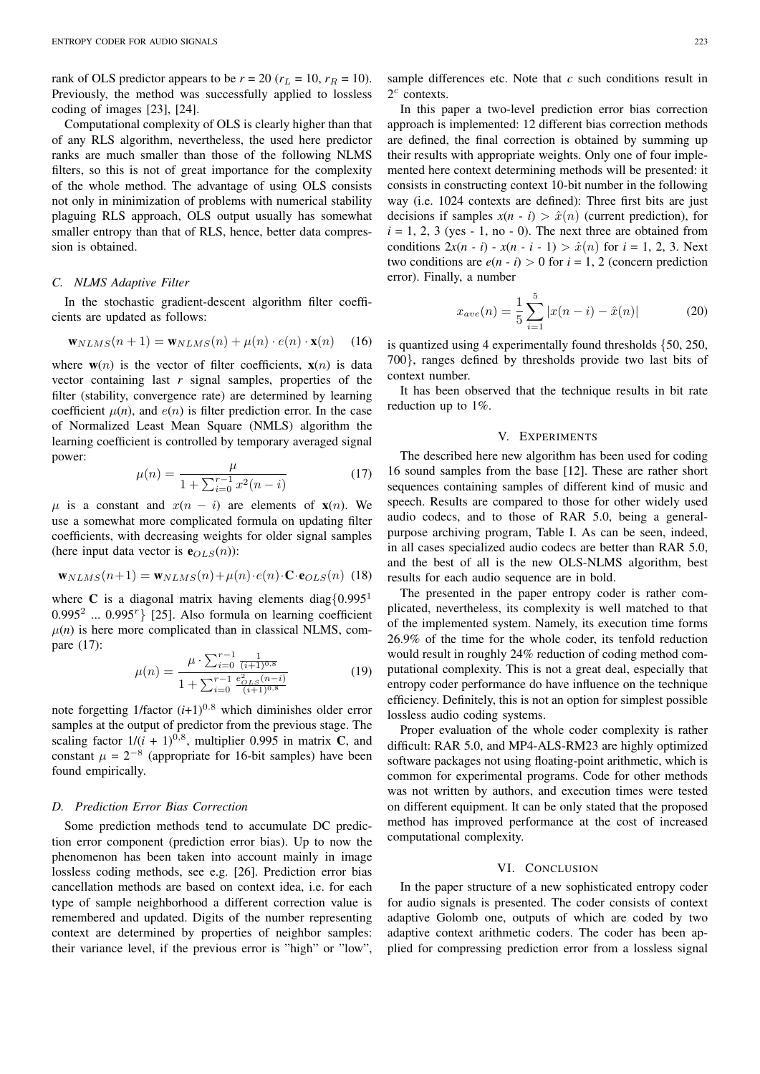rank of OLS predictor appears to be  $r = 20$  ( $r_L = 10$ ,  $r_R = 10$ ). Previously, the method was successfully applied to lossless coding of images [23], [24].

Computational complexity of OLS is clearly higher than that of any RLS algorithm, nevertheless, the used here predictor ranks are much smaller than those of the following NLMS filters, so this is not of great importance for the complexity of the whole method. The advantage of using OLS consists not only in minimization of problems with numerical stability plaguing RLS approach, OLS output usually has somewhat smaller entropy than that of RLS, hence, better data compression is obtained.

#### *C. NLMS Adaptive Filter*

In the stochastic gradient-descent algorithm filter coefficients are updated as follows:

$$
\mathbf{w}_{NLMS}(n+1) = \mathbf{w}_{NLMS}(n) + \mu(n) \cdot e(n) \cdot \mathbf{x}(n) \tag{16}
$$

where  $w(n)$  is the vector of filter coefficients,  $x(n)$  is data vector containing last *r* signal samples, properties of the filter (stability, convergence rate) are determined by learning coefficient  $\mu(n)$ , and  $e(n)$  is filter prediction error. In the case of Normalized Least Mean Square (NMLS) algorithm the learning coefficient is controlled by temporary averaged signal power:

$$
\mu(n) = \frac{\mu}{1 + \sum_{i=0}^{r-1} x^2 (n-i)}\tag{17}
$$

 $\mu$  is a constant and  $x(n - i)$  are elements of  $\mathbf{x}(n)$ . We use a somewhat more complicated formula on updating filter coefficients, with decreasing weights for older signal samples (here input data vector is  $e_{OLS}(n)$ ):

$$
\mathbf{w}_{NLMS}(n+1) = \mathbf{w}_{NLMS}(n) + \mu(n) \cdot e(n) \cdot \mathbf{C} \cdot \mathbf{e}_{OLS}(n)
$$
 (18)

where C is a diagonal matrix having elements diag ${0.995<sup>1</sup>}$ 0.995<sup>2</sup> ... 0.995<sup>*r*</sup>} [25]. Also formula on learning coefficient  $\mu(n)$  is here more complicated than in classical NLMS, compare (17):

$$
\mu(n) = \frac{\mu \cdot \sum_{i=0}^{r-1} \frac{1}{(i+1)^{0.8}}}{1 + \sum_{i=0}^{r-1} \frac{e_{OLS}^2(n-i)}{(i+1)^{0.8}}}
$$
(19)

note forgetting  $1/\text{factor } (i+1)^{0.8}$  which diminishes older error samples at the output of predictor from the previous stage. The scaling factor  $1/(i + 1)^{0.8}$ , multiplier 0.995 in matrix C, and constant  $\mu = 2^{-8}$  (appropriate for 16-bit samples) have been found empirically.

# *D. Prediction Error Bias Correction*

Some prediction methods tend to accumulate DC prediction error component (prediction error bias). Up to now the phenomenon has been taken into account mainly in image lossless coding methods, see e.g. [26]. Prediction error bias cancellation methods are based on context idea, i.e. for each type of sample neighborhood a different correction value is remembered and updated. Digits of the number representing context are determined by properties of neighbor samples: their variance level, if the previous error is "high" or "low",

sample differences etc. Note that *c* such conditions result in  $2^c$  contexts.

In this paper a two-level prediction error bias correction approach is implemented: 12 different bias correction methods are defined, the final correction is obtained by summing up their results with appropriate weights. Only one of four implemented here context determining methods will be presented: it consists in constructing context 10-bit number in the following way (i.e. 1024 contexts are defined): Three first bits are just decisions if samples  $x(n - i) > \hat{x}(n)$  (current prediction), for  $i = 1, 2, 3$  (yes - 1, no - 0). The next three are obtained from conditions  $2x(n - i) - x(n - i - 1) > \hat{x}(n)$  for  $i = 1, 2, 3$ . Next two conditions are  $e(n - i) > 0$  for  $i = 1, 2$  (concern prediction error). Finally, a number

$$
x_{ave}(n) = \frac{1}{5} \sum_{i=1}^{5} |x(n-i) - \hat{x}(n)|
$$
 (20)

is quantized using 4 experimentally found thresholds {50, 250, 700}, ranges defined by thresholds provide two last bits of context number.

It has been observed that the technique results in bit rate reduction up to 1%.

#### V. EXPERIMENTS

The described here new algorithm has been used for coding 16 sound samples from the base [12]. These are rather short sequences containing samples of different kind of music and speech. Results are compared to those for other widely used audio codecs, and to those of RAR 5.0, being a generalpurpose archiving program, Table I. As can be seen, indeed, in all cases specialized audio codecs are better than RAR 5.0, and the best of all is the new OLS-NLMS algorithm, best results for each audio sequence are in bold.

The presented in the paper entropy coder is rather complicated, nevertheless, its complexity is well matched to that of the implemented system. Namely, its execution time forms 26.9% of the time for the whole coder, its tenfold reduction would result in roughly 24% reduction of coding method computational complexity. This is not a great deal, especially that entropy coder performance do have influence on the technique efficiency. Definitely, this is not an option for simplest possible lossless audio coding systems.

Proper evaluation of the whole coder complexity is rather difficult: RAR 5.0, and MP4-ALS-RM23 are highly optimized software packages not using floating-point arithmetic, which is common for experimental programs. Code for other methods was not written by authors, and execution times were tested on different equipment. It can be only stated that the proposed method has improved performance at the cost of increased computational complexity.

#### VI. CONCLUSION

In the paper structure of a new sophisticated entropy coder for audio signals is presented. The coder consists of context adaptive Golomb one, outputs of which are coded by two adaptive context arithmetic coders. The coder has been applied for compressing prediction error from a lossless signal